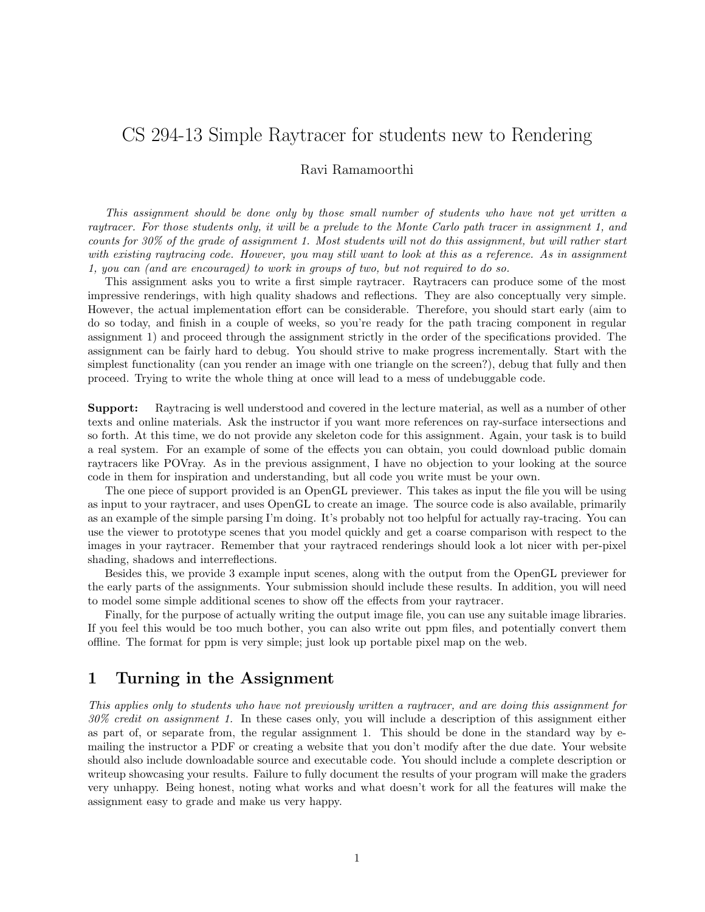# CS 294-13 Simple Raytracer for students new to Rendering

# Ravi Ramamoorthi

This assignment should be done only by those small number of students who have not yet written a raytracer. For those students only, it will be a prelude to the Monte Carlo path tracer in assignment 1, and counts for 30% of the grade of assignment 1. Most students will not do this assignment, but will rather start with existing raytracing code. However, you may still want to look at this as a reference. As in assignment 1, you can (and are encouraged) to work in groups of two, but not required to do so.

This assignment asks you to write a first simple raytracer. Raytracers can produce some of the most impressive renderings, with high quality shadows and reflections. They are also conceptually very simple. However, the actual implementation effort can be considerable. Therefore, you should start early (aim to do so today, and finish in a couple of weeks, so you're ready for the path tracing component in regular assignment 1) and proceed through the assignment strictly in the order of the specifications provided. The assignment can be fairly hard to debug. You should strive to make progress incrementally. Start with the simplest functionality (can you render an image with one triangle on the screen?), debug that fully and then proceed. Trying to write the whole thing at once will lead to a mess of undebuggable code.

Support: Raytracing is well understood and covered in the lecture material, as well as a number of other texts and online materials. Ask the instructor if you want more references on ray-surface intersections and so forth. At this time, we do not provide any skeleton code for this assignment. Again, your task is to build a real system. For an example of some of the effects you can obtain, you could download public domain raytracers like POVray. As in the previous assignment, I have no objection to your looking at the source code in them for inspiration and understanding, but all code you write must be your own.

The one piece of support provided is an OpenGL previewer. This takes as input the file you will be using as input to your raytracer, and uses OpenGL to create an image. The source code is also available, primarily as an example of the simple parsing I'm doing. It's probably not too helpful for actually ray-tracing. You can use the viewer to prototype scenes that you model quickly and get a coarse comparison with respect to the images in your raytracer. Remember that your raytraced renderings should look a lot nicer with per-pixel shading, shadows and interreflections.

Besides this, we provide 3 example input scenes, along with the output from the OpenGL previewer for the early parts of the assignments. Your submission should include these results. In addition, you will need to model some simple additional scenes to show off the effects from your raytracer.

Finally, for the purpose of actually writing the output image file, you can use any suitable image libraries. If you feel this would be too much bother, you can also write out ppm files, and potentially convert them offline. The format for ppm is very simple; just look up portable pixel map on the web.

# 1 Turning in the Assignment

This applies only to students who have not previously written a raytracer, and are doing this assignment for 30% credit on assignment 1. In these cases only, you will include a description of this assignment either as part of, or separate from, the regular assignment 1. This should be done in the standard way by emailing the instructor a PDF or creating a website that you don't modify after the due date. Your website should also include downloadable source and executable code. You should include a complete description or writeup showcasing your results. Failure to fully document the results of your program will make the graders very unhappy. Being honest, noting what works and what doesn't work for all the features will make the assignment easy to grade and make us very happy.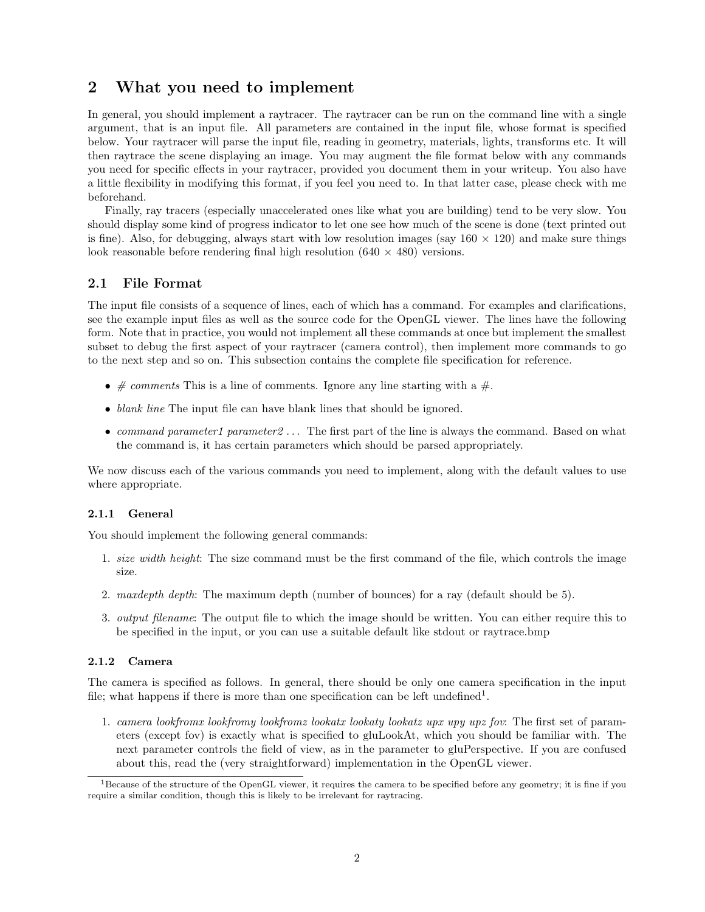# 2 What you need to implement

In general, you should implement a raytracer. The raytracer can be run on the command line with a single argument, that is an input file. All parameters are contained in the input file, whose format is specified below. Your raytracer will parse the input file, reading in geometry, materials, lights, transforms etc. It will then raytrace the scene displaying an image. You may augment the file format below with any commands you need for specific effects in your raytracer, provided you document them in your writeup. You also have a little flexibility in modifying this format, if you feel you need to. In that latter case, please check with me beforehand.

Finally, ray tracers (especially unaccelerated ones like what you are building) tend to be very slow. You should display some kind of progress indicator to let one see how much of the scene is done (text printed out is fine). Also, for debugging, always start with low resolution images (say  $160 \times 120$ ) and make sure things look reasonable before rendering final high resolution  $(640 \times 480)$  versions.

# 2.1 File Format

The input file consists of a sequence of lines, each of which has a command. For examples and clarifications, see the example input files as well as the source code for the OpenGL viewer. The lines have the following form. Note that in practice, you would not implement all these commands at once but implement the smallest subset to debug the first aspect of your raytracer (camera control), then implement more commands to go to the next step and so on. This subsection contains the complete file specification for reference.

- $\# \, comments$  This is a line of comments. Ignore any line starting with a  $\#$ .
- blank line The input file can have blank lines that should be ignored.
- command parameter1 parameter2 ... The first part of the line is always the command. Based on what the command is, it has certain parameters which should be parsed appropriately.

We now discuss each of the various commands you need to implement, along with the default values to use where appropriate.

#### 2.1.1 General

You should implement the following general commands:

- 1. size width height: The size command must be the first command of the file, which controls the image size.
- 2. maxdepth depth: The maximum depth (number of bounces) for a ray (default should be 5).
- 3. output filename: The output file to which the image should be written. You can either require this to be specified in the input, or you can use a suitable default like stdout or raytrace.bmp

#### 2.1.2 Camera

The camera is specified as follows. In general, there should be only one camera specification in the input file; what happens if there is more than one specification can be left undefined<sup>1</sup>.

1. camera lookfromx lookfromy lookfromz lookatx lookaty lookatz upx upy upz fov: The first set of parameters (except fov) is exactly what is specified to gluLookAt, which you should be familiar with. The next parameter controls the field of view, as in the parameter to gluPerspective. If you are confused about this, read the (very straightforward) implementation in the OpenGL viewer.

 ${}^{1}$ Because of the structure of the OpenGL viewer, it requires the camera to be specified before any geometry; it is fine if you require a similar condition, though this is likely to be irrelevant for raytracing.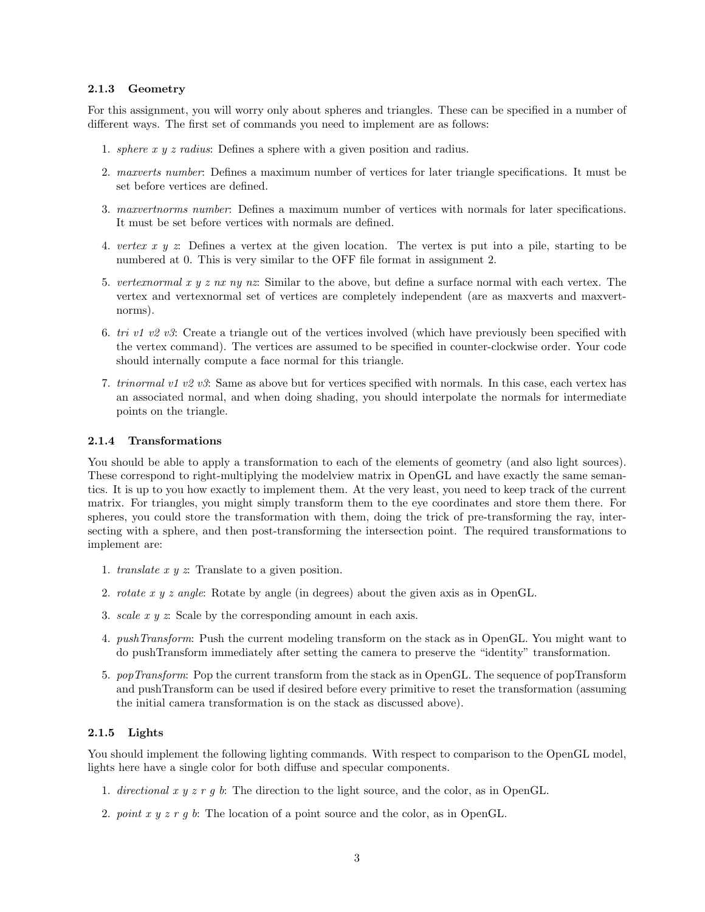#### 2.1.3 Geometry

For this assignment, you will worry only about spheres and triangles. These can be specified in a number of different ways. The first set of commands you need to implement are as follows:

- 1. sphere x y z radius: Defines a sphere with a given position and radius.
- 2. maxverts number: Defines a maximum number of vertices for later triangle specifications. It must be set before vertices are defined.
- 3. maxvertnorms number: Defines a maximum number of vertices with normals for later specifications. It must be set before vertices with normals are defined.
- 4. vertex x  $y \thinspace z$ : Defines a vertex at the given location. The vertex is put into a pile, starting to be numbered at 0. This is very similar to the OFF file format in assignment 2.
- 5. vertexnormal x y z nx ny nz: Similar to the above, but define a surface normal with each vertex. The vertex and vertexnormal set of vertices are completely independent (are as maxverts and maxvertnorms).
- 6. tri v1 v2 v3: Create a triangle out of the vertices involved (which have previously been specified with the vertex command). The vertices are assumed to be specified in counter-clockwise order. Your code should internally compute a face normal for this triangle.
- 7. trinormal v1 v2 v3: Same as above but for vertices specified with normals. In this case, each vertex has an associated normal, and when doing shading, you should interpolate the normals for intermediate points on the triangle.

#### 2.1.4 Transformations

You should be able to apply a transformation to each of the elements of geometry (and also light sources). These correspond to right-multiplying the modelview matrix in OpenGL and have exactly the same semantics. It is up to you how exactly to implement them. At the very least, you need to keep track of the current matrix. For triangles, you might simply transform them to the eye coordinates and store them there. For spheres, you could store the transformation with them, doing the trick of pre-transforming the ray, intersecting with a sphere, and then post-transforming the intersection point. The required transformations to implement are:

- 1. translate  $x \, y \, z$ . Translate to a given position.
- 2. rotate x y z angle: Rotate by angle (in degrees) about the given axis as in OpenGL.
- 3. *scale x y z*: Scale by the corresponding amount in each axis.
- 4. pushTransform: Push the current modeling transform on the stack as in OpenGL. You might want to do pushTransform immediately after setting the camera to preserve the "identity" transformation.
- 5. popTransform: Pop the current transform from the stack as in OpenGL. The sequence of popTransform and pushTransform can be used if desired before every primitive to reset the transformation (assuming the initial camera transformation is on the stack as discussed above).

#### 2.1.5 Lights

You should implement the following lighting commands. With respect to comparison to the OpenGL model, lights here have a single color for both diffuse and specular components.

- 1. directional x y z r g b: The direction to the light source, and the color, as in OpenGL.
- 2. point  $x y z r q b$ : The location of a point source and the color, as in OpenGL.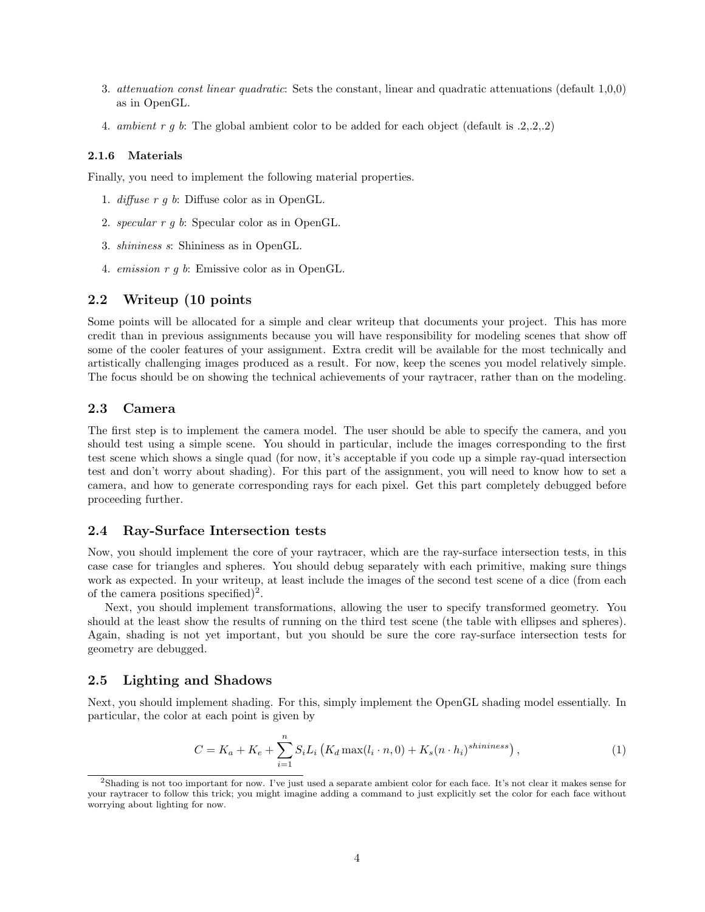- 3. attenuation const linear quadratic: Sets the constant, linear and quadratic attenuations (default 1,0,0) as in OpenGL.
- 4. ambient r g b: The global ambient color to be added for each object (default is  $(2,2,2,2)$ )

#### 2.1.6 Materials

Finally, you need to implement the following material properties.

- 1. diffuse r g b: Diffuse color as in OpenGL.
- 2. specular r g b: Specular color as in OpenGL.
- 3. shininess s: Shininess as in OpenGL.
- 4. emission r g b: Emissive color as in OpenGL.

# 2.2 Writeup (10 points

Some points will be allocated for a simple and clear writeup that documents your project. This has more credit than in previous assignments because you will have responsibility for modeling scenes that show off some of the cooler features of your assignment. Extra credit will be available for the most technically and artistically challenging images produced as a result. For now, keep the scenes you model relatively simple. The focus should be on showing the technical achievements of your raytracer, rather than on the modeling.

# 2.3 Camera

The first step is to implement the camera model. The user should be able to specify the camera, and you should test using a simple scene. You should in particular, include the images corresponding to the first test scene which shows a single quad (for now, it's acceptable if you code up a simple ray-quad intersection test and don't worry about shading). For this part of the assignment, you will need to know how to set a camera, and how to generate corresponding rays for each pixel. Get this part completely debugged before proceeding further.

### 2.4 Ray-Surface Intersection tests

Now, you should implement the core of your raytracer, which are the ray-surface intersection tests, in this case case for triangles and spheres. You should debug separately with each primitive, making sure things work as expected. In your writeup, at least include the images of the second test scene of a dice (from each of the camera positions specified)<sup>2</sup>.

Next, you should implement transformations, allowing the user to specify transformed geometry. You should at the least show the results of running on the third test scene (the table with ellipses and spheres). Again, shading is not yet important, but you should be sure the core ray-surface intersection tests for geometry are debugged.

#### 2.5 Lighting and Shadows

Next, you should implement shading. For this, simply implement the OpenGL shading model essentially. In particular, the color at each point is given by

$$
C = K_a + K_e + \sum_{i=1}^{n} S_i L_i \left( K_d \max(l_i \cdot n, 0) + K_s (n \cdot h_i)^{shininess} \right), \qquad (1)
$$

<sup>2</sup>Shading is not too important for now. I've just used a separate ambient color for each face. It's not clear it makes sense for your raytracer to follow this trick; you might imagine adding a command to just explicitly set the color for each face without worrying about lighting for now.